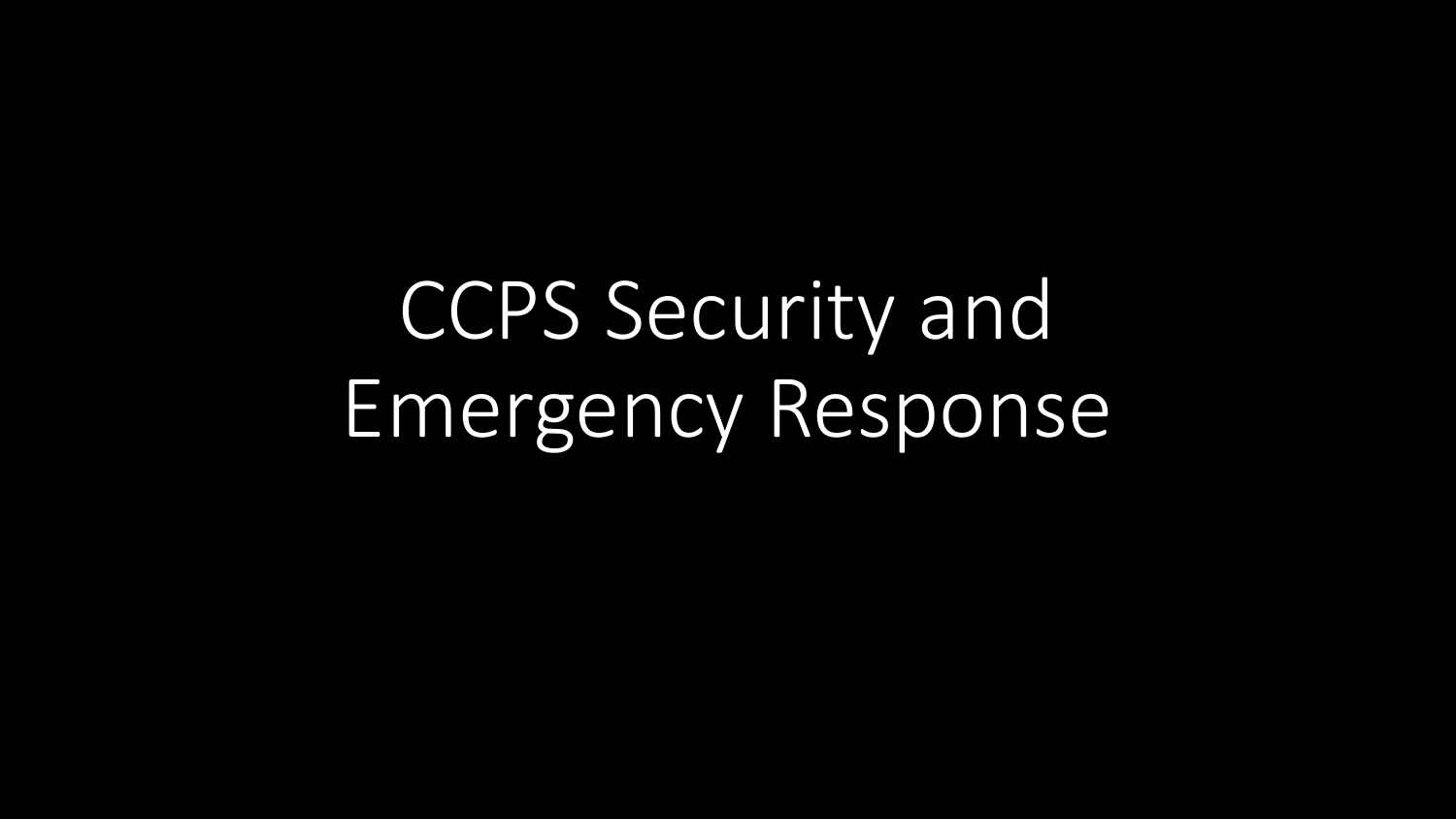CCPS Security and Emergency Response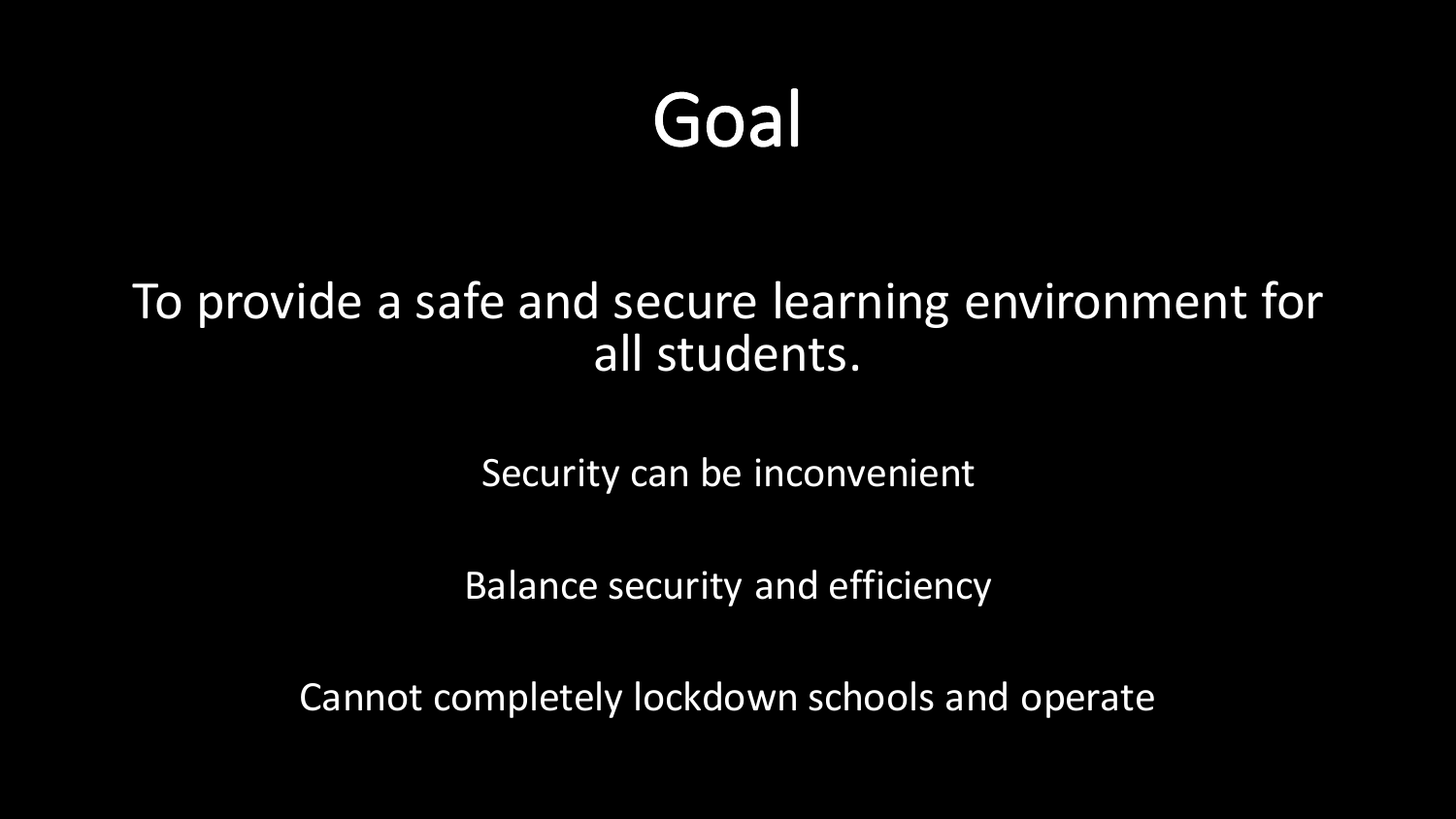### Goal

#### To provide a safe and secure learning environment for all students.

Security can be inconvenient

Balance security and efficiency

Cannot completely lockdown schools and operate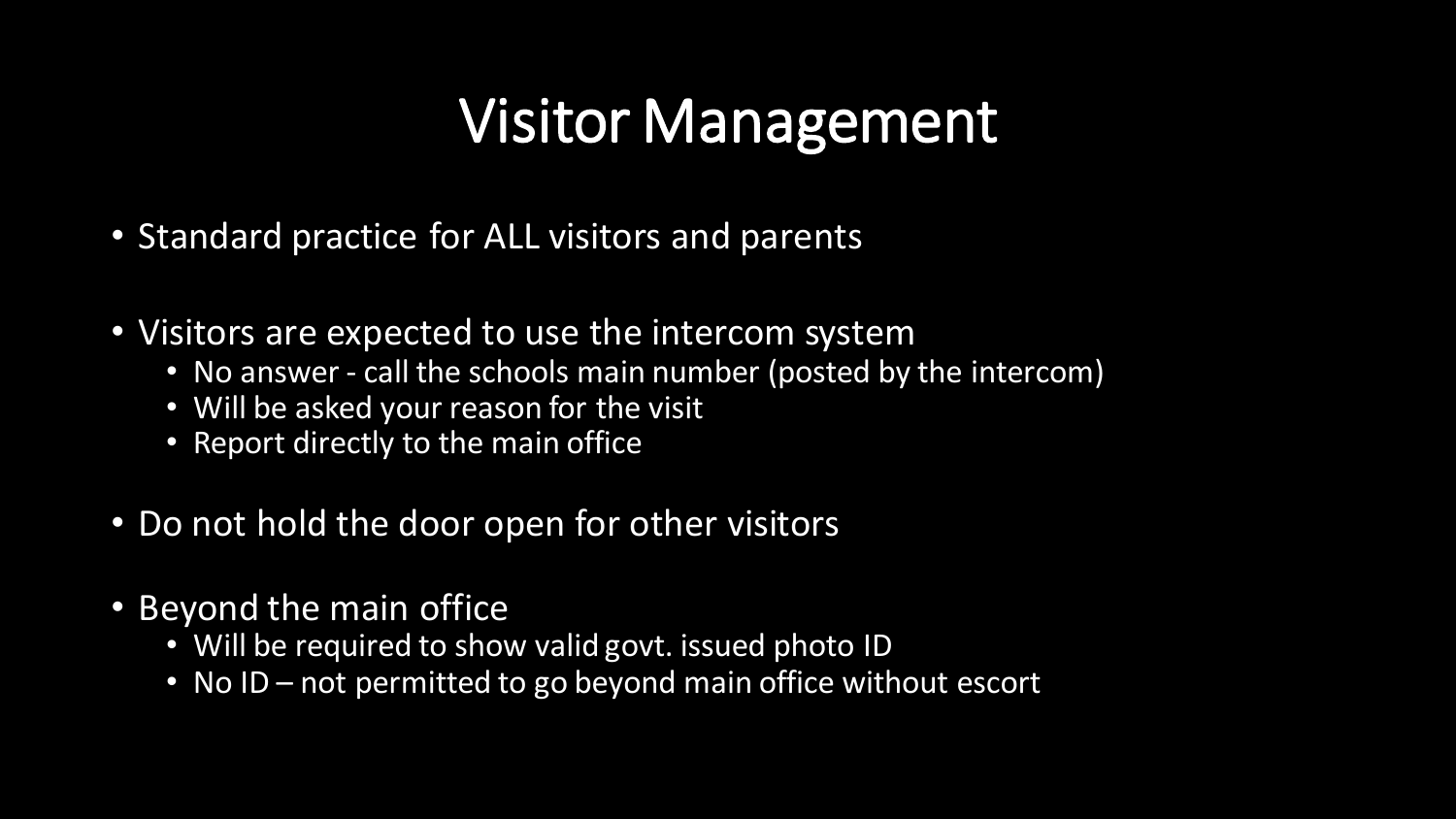### Visitor Management

- Standard practice for ALL visitors and parents
- Visitors are expected to use the intercom system
	- No answer call the schools main number (posted by the intercom)
	- Will be asked your reason for the visit
	- Report directly to the main office
- Do not hold the door open for other visitors
- Beyond the main office
	- Will be required to show valid govt. issued photo ID
	- No ID not permitted to go beyond main office without escort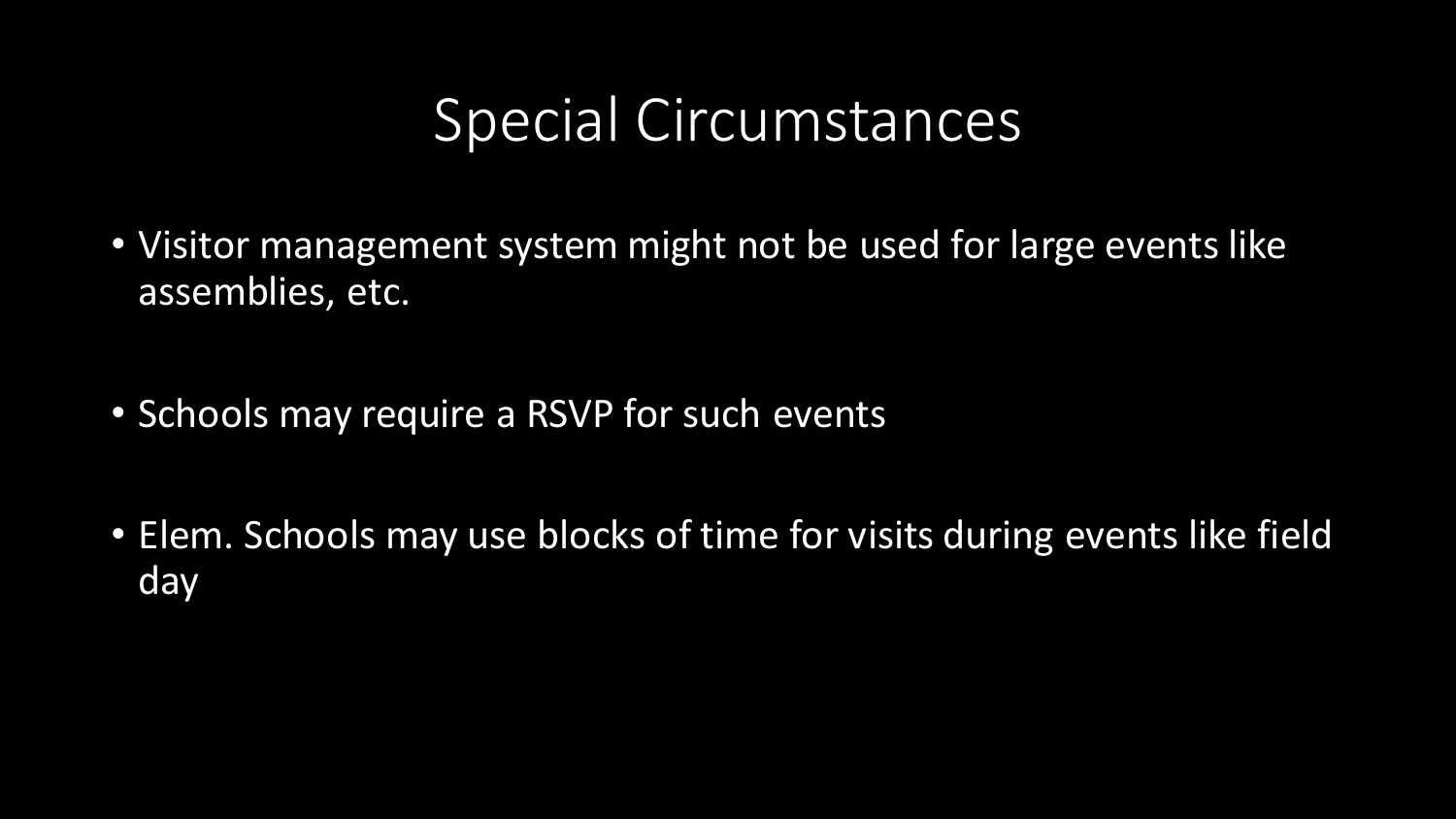### Special Circumstances

- Visitor management system might not be used for large events like assemblies, etc.
- Schools may require a RSVP for such events
- Elem. Schools may use blocks of time for visits during events like field day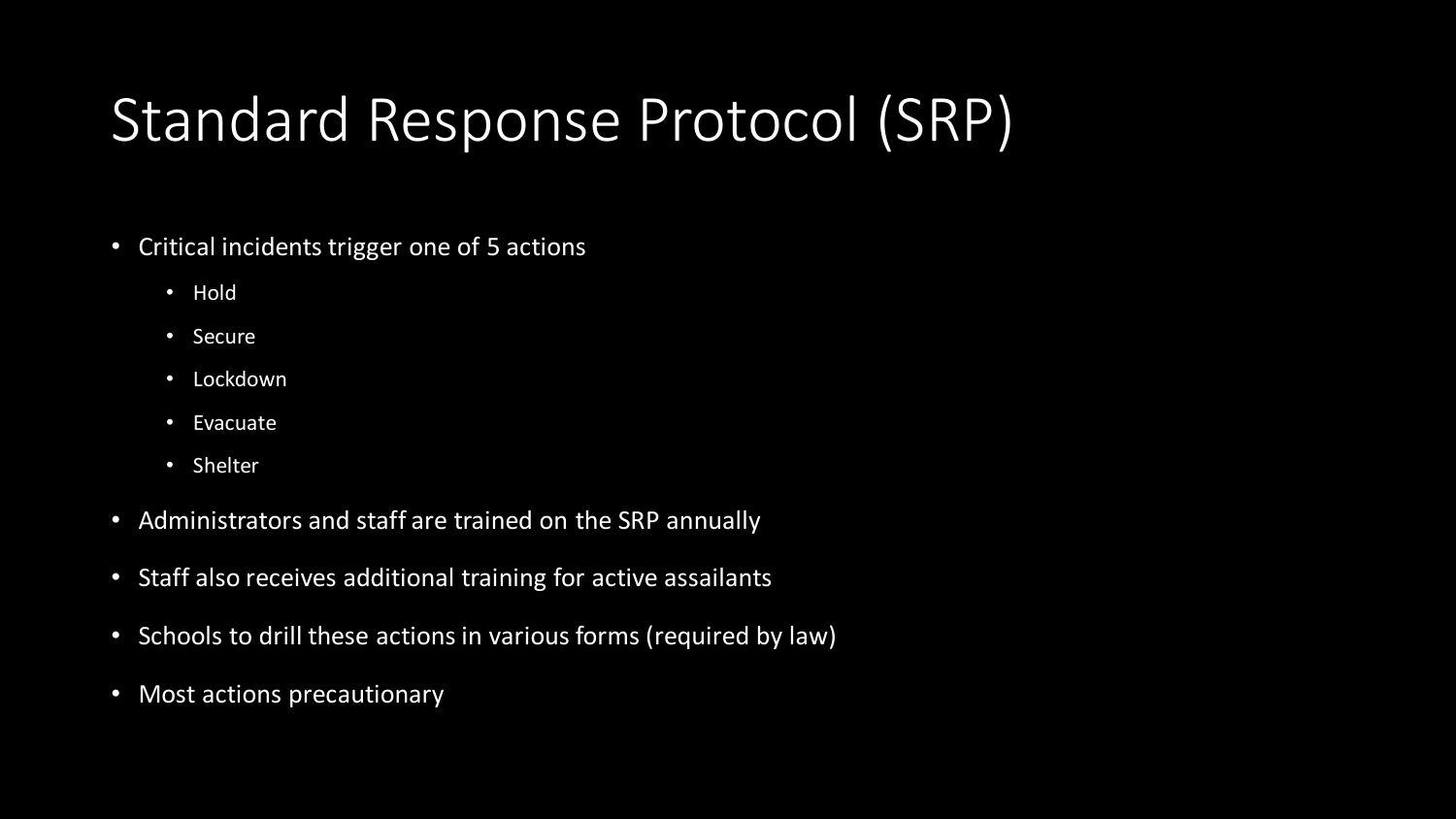### Standard Response Protocol (SRP)

- Critical incidents trigger one of 5 actions
	- Hold
	- Secure
	- Lockdown
	- Evacuate
	- Shelter
- Administrators and staff are trained on the SRP annually
- Staff also receives additional training for active assailants
- Schools to drill these actions in various forms (required by law)
- Most actions precautionary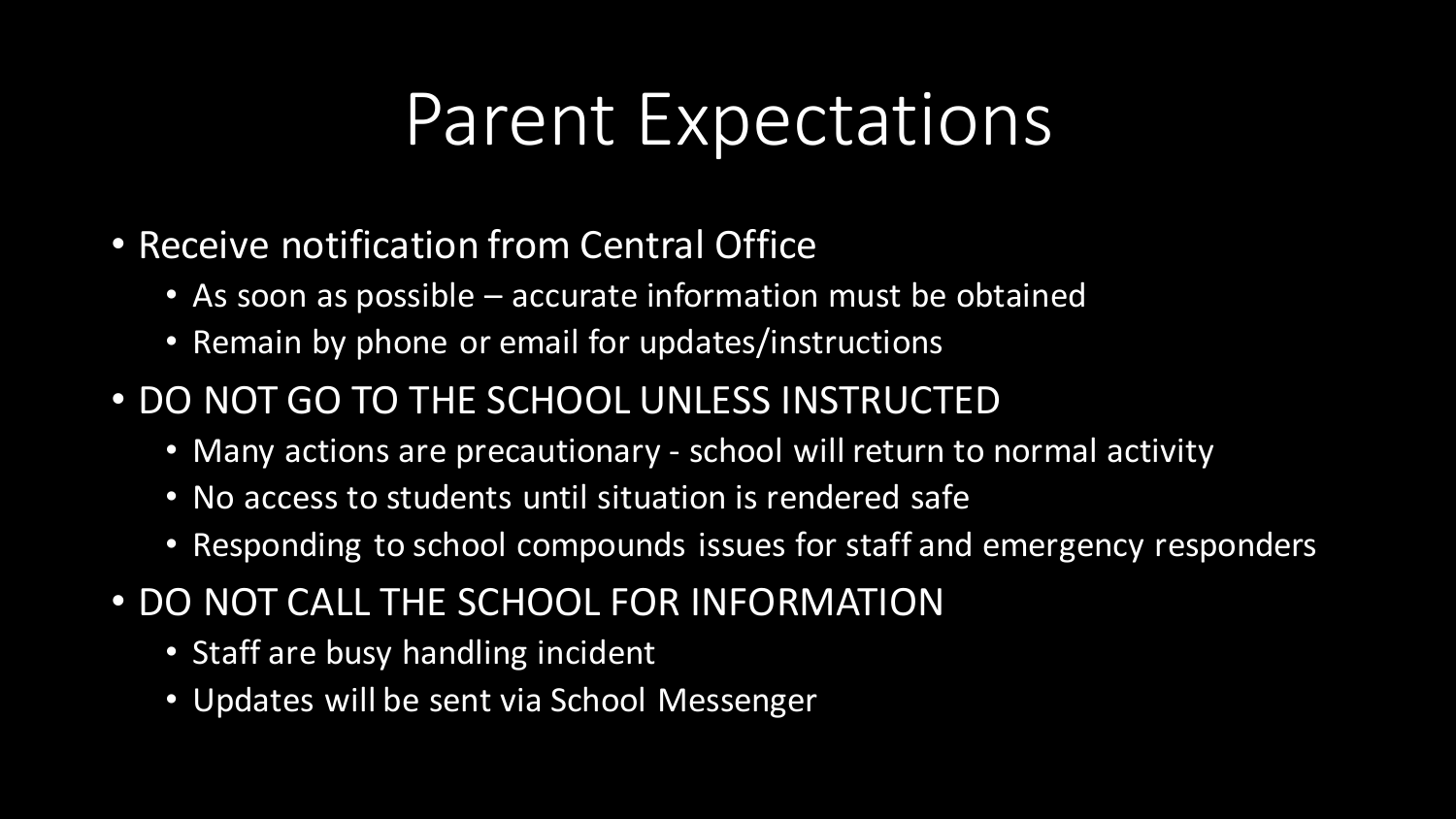### Parent Expectations

- Receive notification from Central Office
	- As soon as possible accurate information must be obtained
	- Remain by phone or email for updates/instructions
- DO NOT GO TO THE SCHOOL UNLESS INSTRUCTED
	- Many actions are precautionary school will return to normal activity
	- No access to students until situation is rendered safe
	- Responding to school compounds issues for staff and emergency responders
- DO NOT CALL THE SCHOOL FOR INFORMATION
	- Staff are busy handling incident
	- Updates will be sent via School Messenger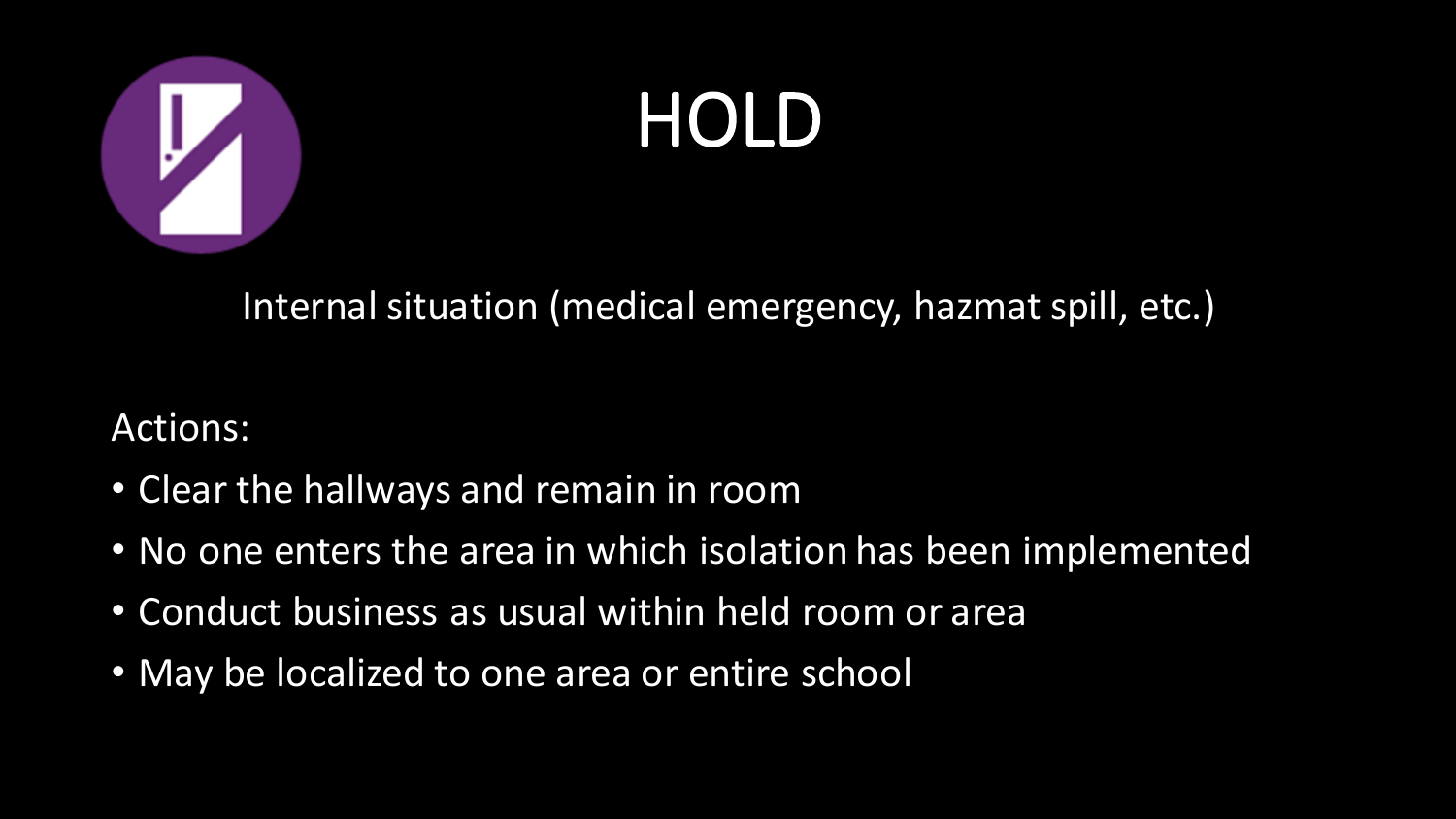

# HOLD

Internal situation (medical emergency, hazmat spill, etc.)

- Clear the hallways and remain in room
- No one enters the area in which isolation has been implemented
- Conduct business as usual within held room or area
- May be localized to one area or entire school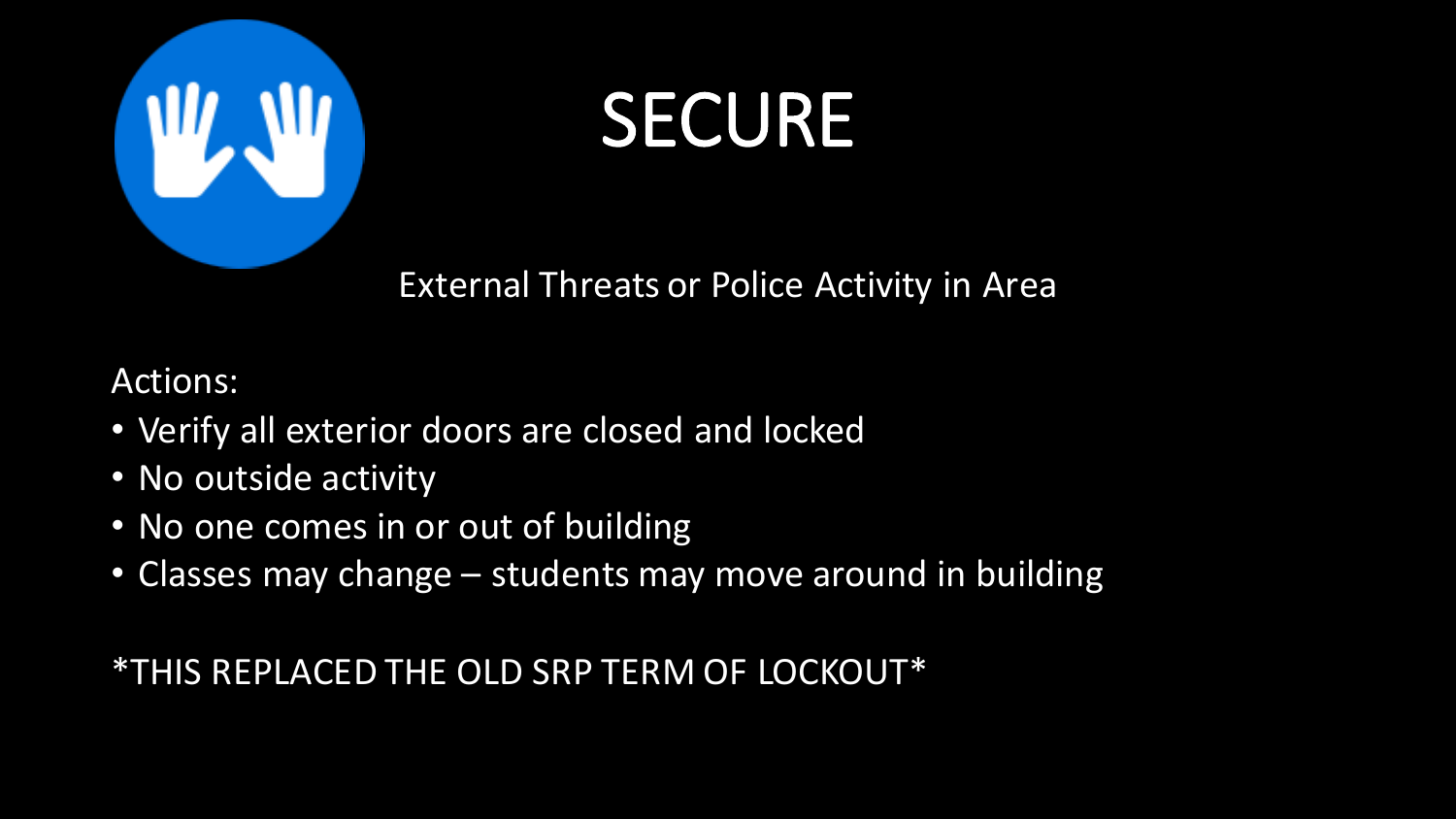

### SECURE

External Threats or Police Activity in Area

Actions:

- Verify all exterior doors are closed and locked
- No outside activity
- No one comes in or out of building
- Classes may change students may move around in building

\*THIS REPLACED THE OLD SRP TERM OF LOCKOUT\*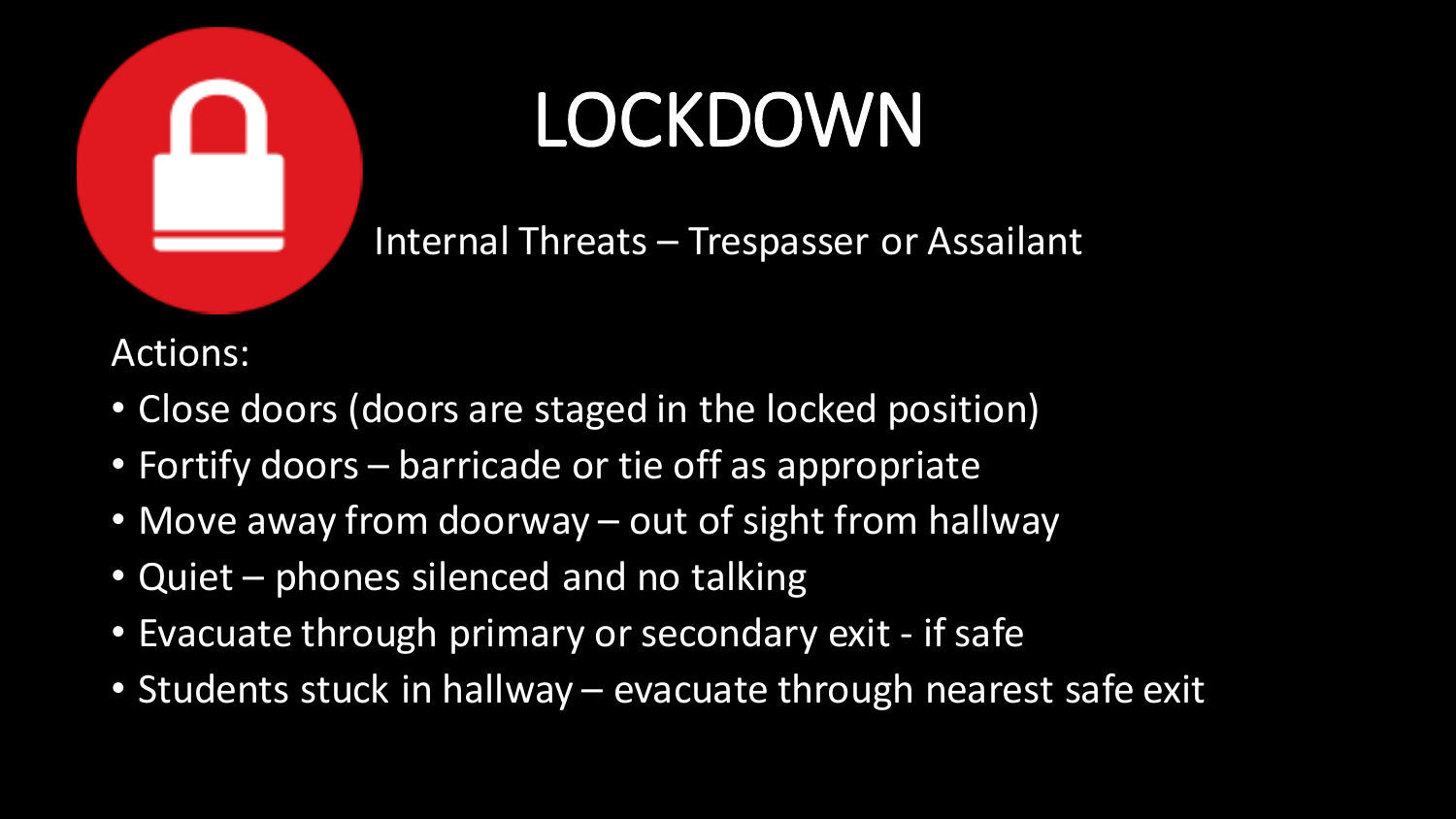

# LOCKDOWN

Internal Threats – Trespasser or Assailant

- Close doors (doors are staged in the locked position)
- Fortify doors barricade or tie off as appropriate
- Move away from doorway out of sight from hallway
- Quiet phones silenced and no talking
- Evacuate through primary or secondary exit if safe
- Students stuck in hallway evacuate through nearest safe exit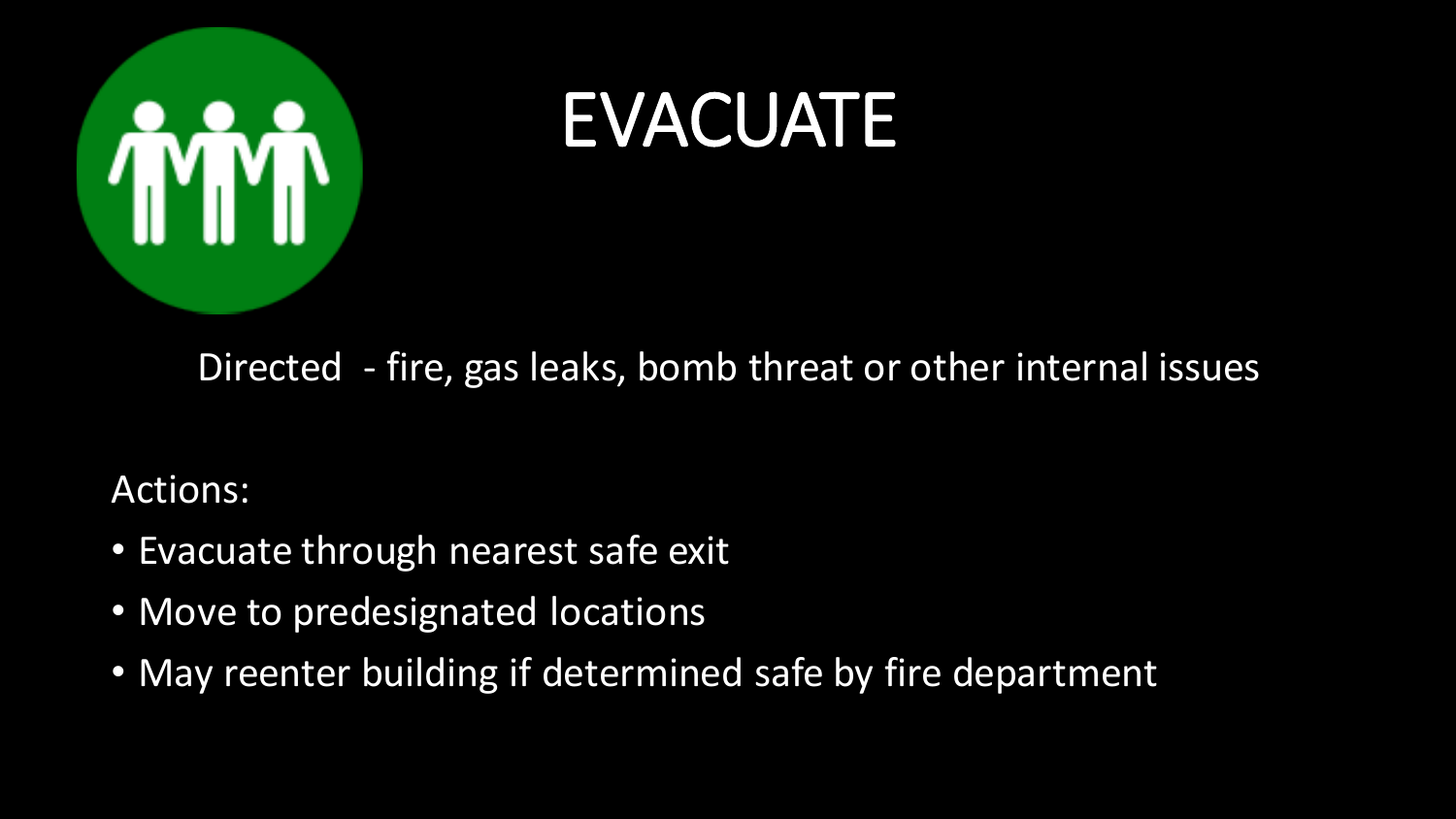

### EVACUATE

#### Directed - fire, gas leaks, bomb threat or other internal issues

- Evacuate through nearest safe exit
- Move to predesignated locations
- May reenter building if determined safe by fire department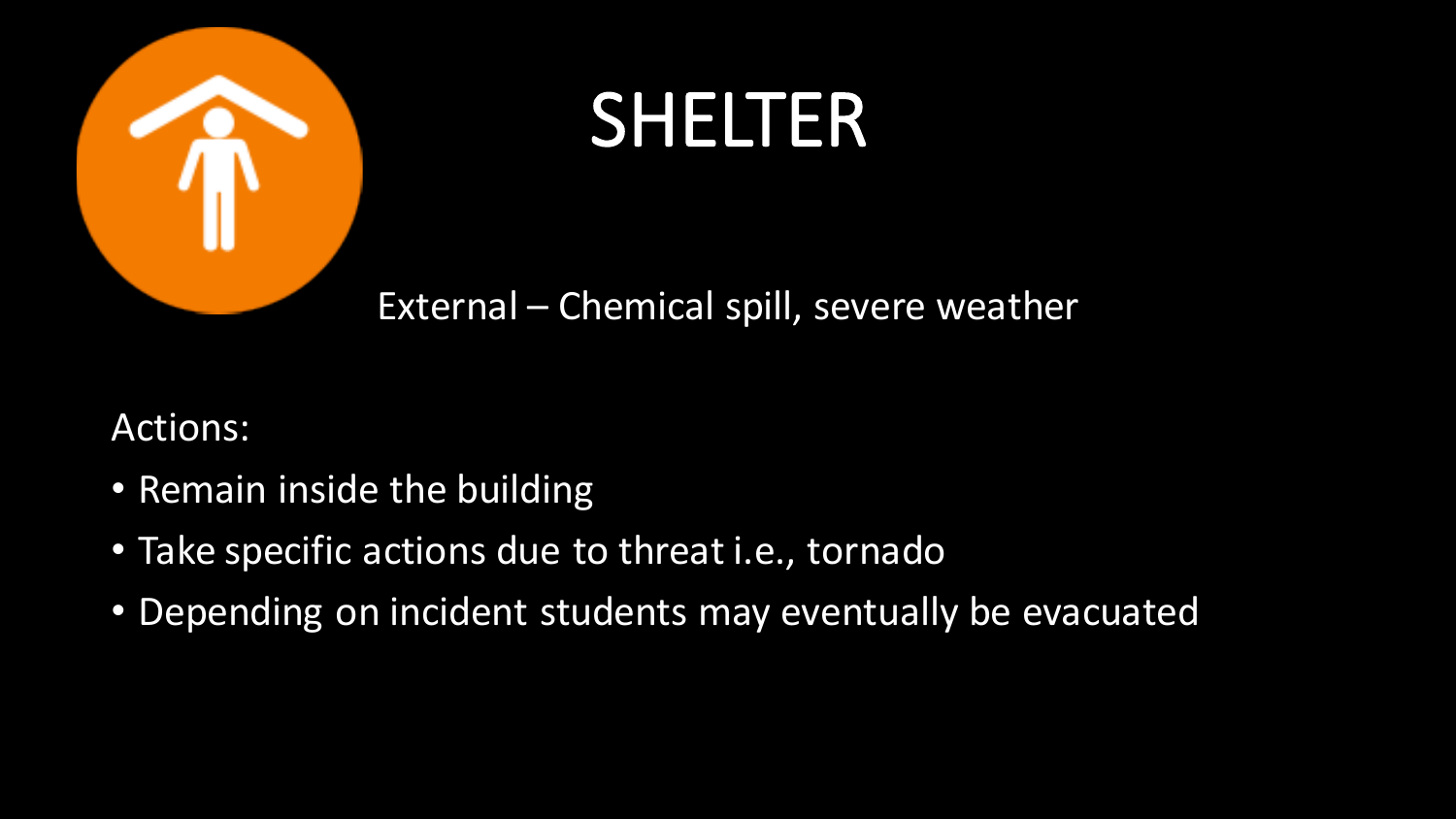

## SHELTER

External – Chemical spill, severe weather

- Remain inside the building
- Take specific actions due to threat i.e., tornado
- Depending on incident students may eventually be evacuated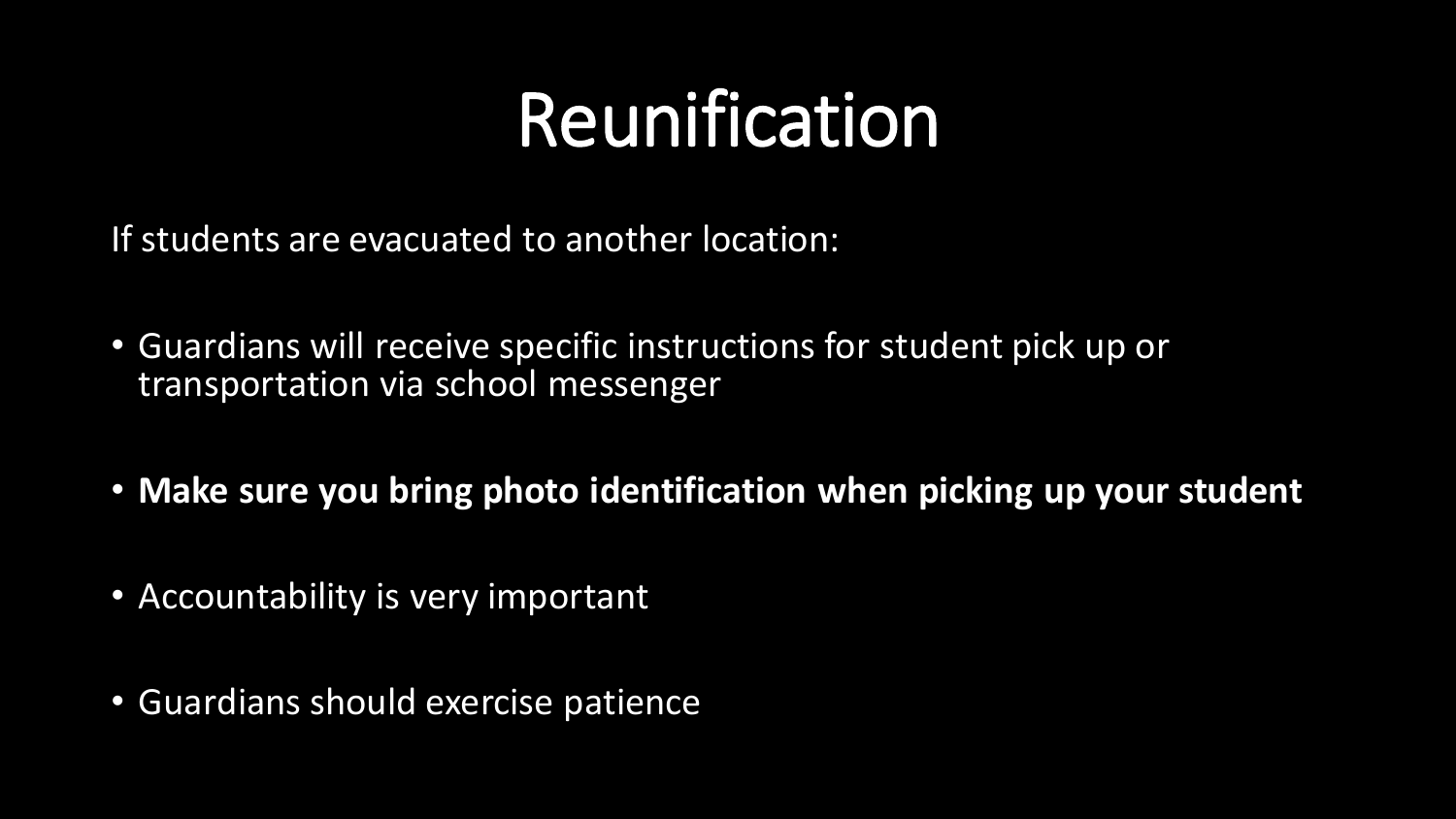## Reunification

If students are evacuated to another location:

- Guardians will receive specific instructions for student pick up or transportation via school messenger
- **Make sure you bring photo identification when picking up your student**
- Accountability is very important
- Guardians should exercise patience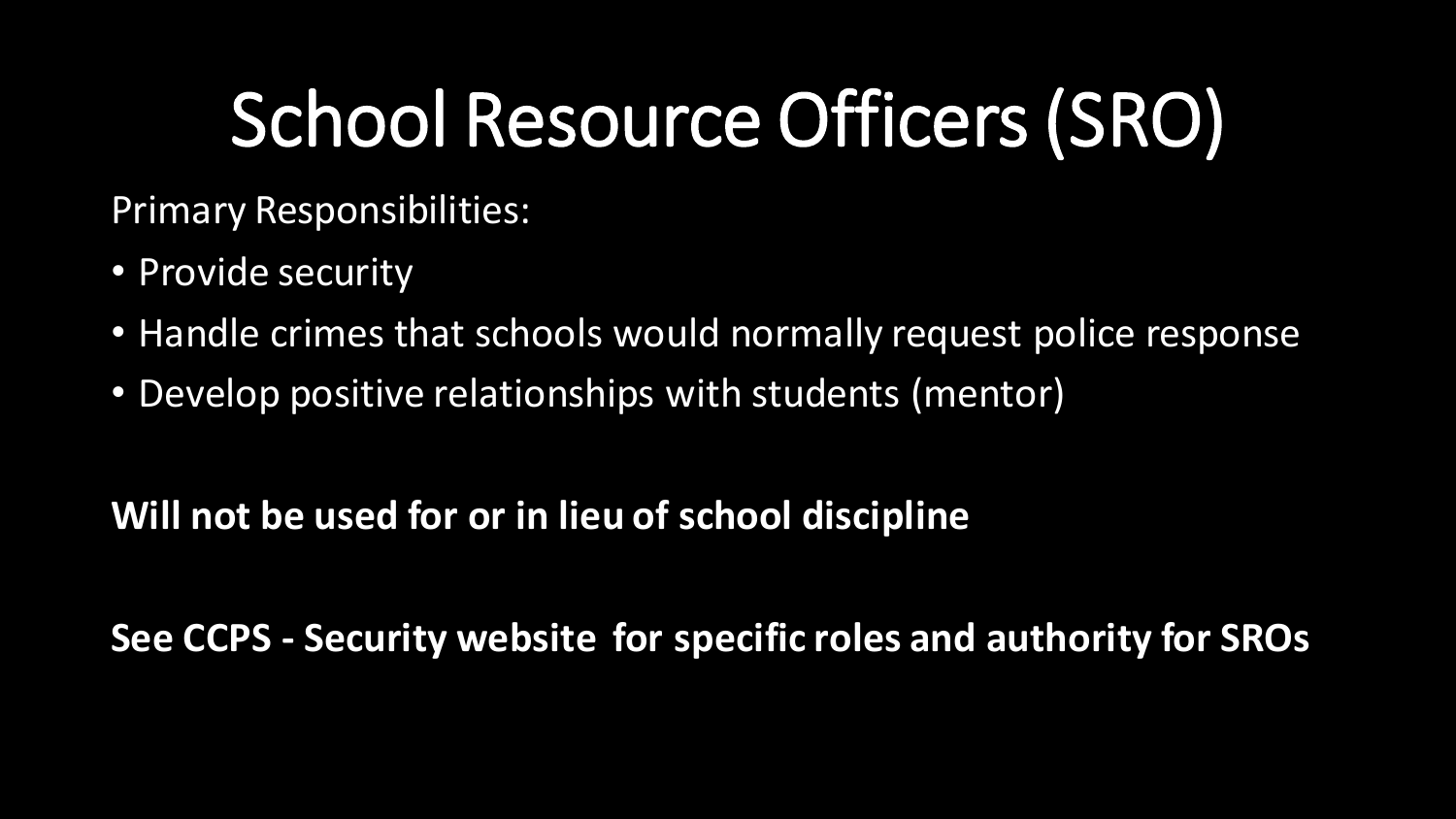# School Resource Officers (SRO)

Primary Responsibilities:

- Provide security
- Handle crimes that schools would normally request police response
- Develop positive relationships with students (mentor)

**Will not be used for or in lieu of school discipline**

**See CCPS - Security website for specific roles and authority for SROs**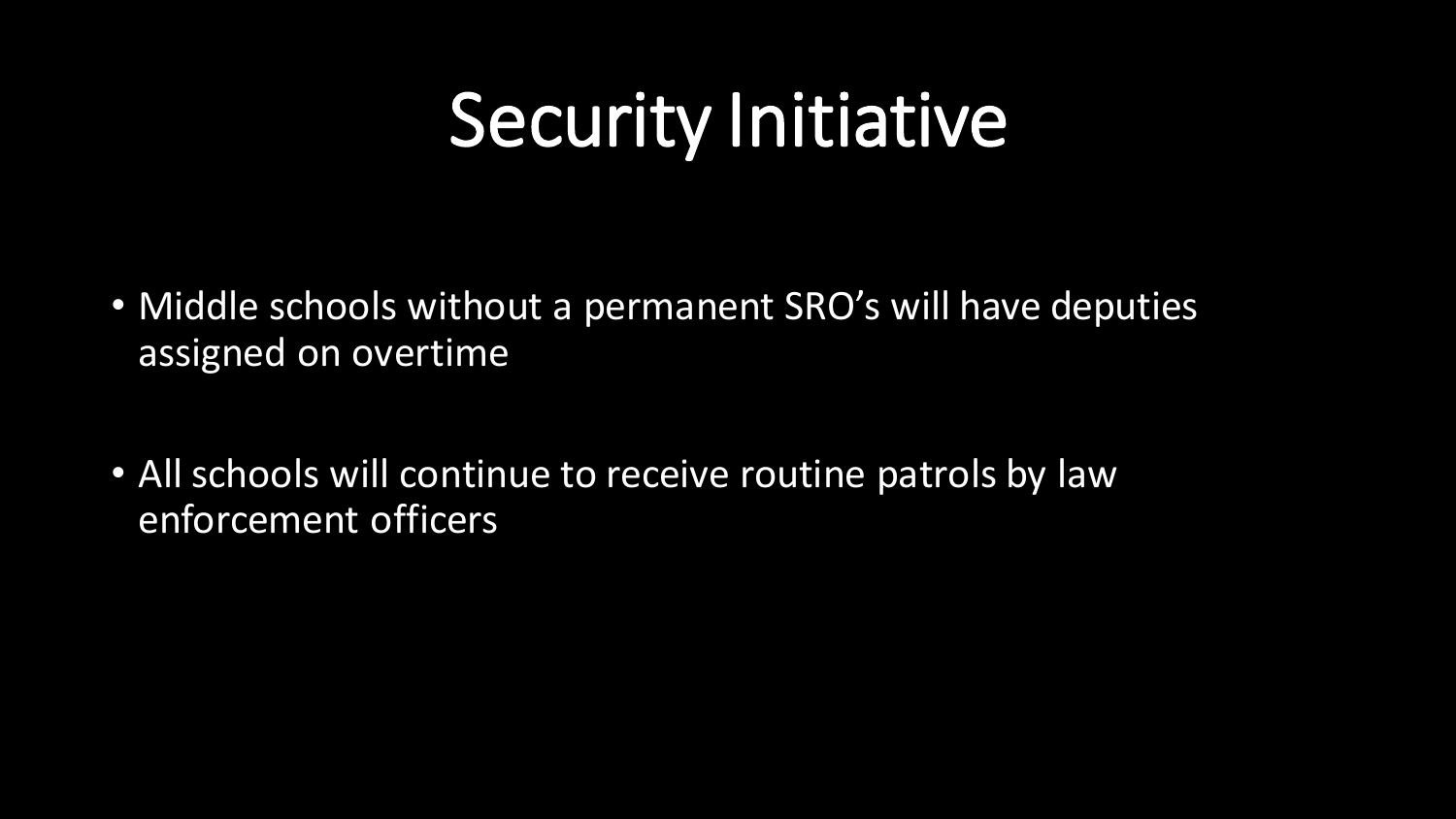## Security Initiative

- Middle schools without a permanent SRO's will have deputies assigned on overtime
- All schools will continue to receive routine patrols by law enforcement officers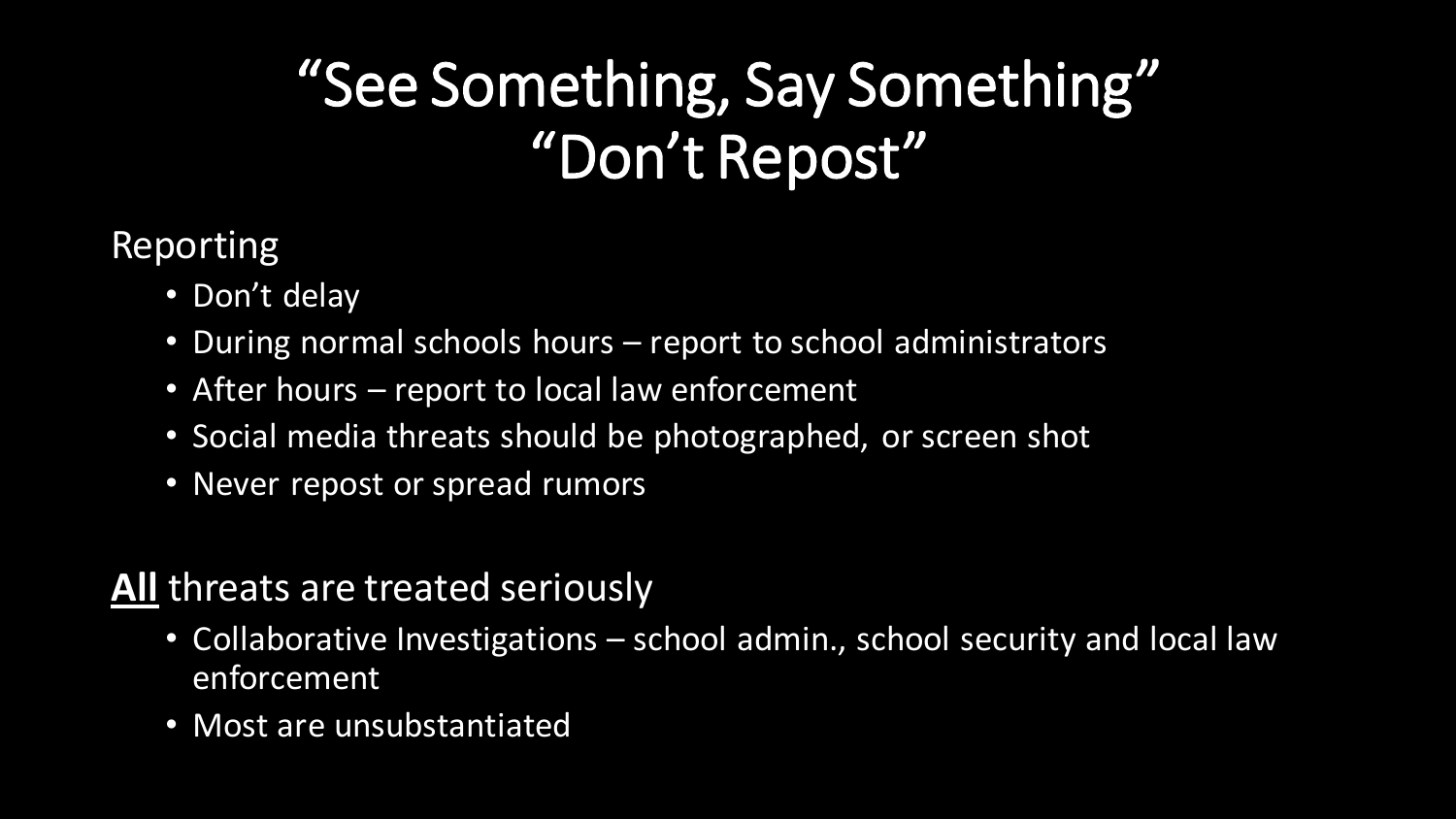### "See Something, Say Something" "Don't Repost"

#### Reporting

- Don't delay
- During normal schools hours report to school administrators
- After hours report to local law enforcement
- Social media threats should be photographed, or screen shot
- Never repost or spread rumors

#### **All** threats are treated seriously

- Collaborative Investigations school admin., school security and local law enforcement
- Most are unsubstantiated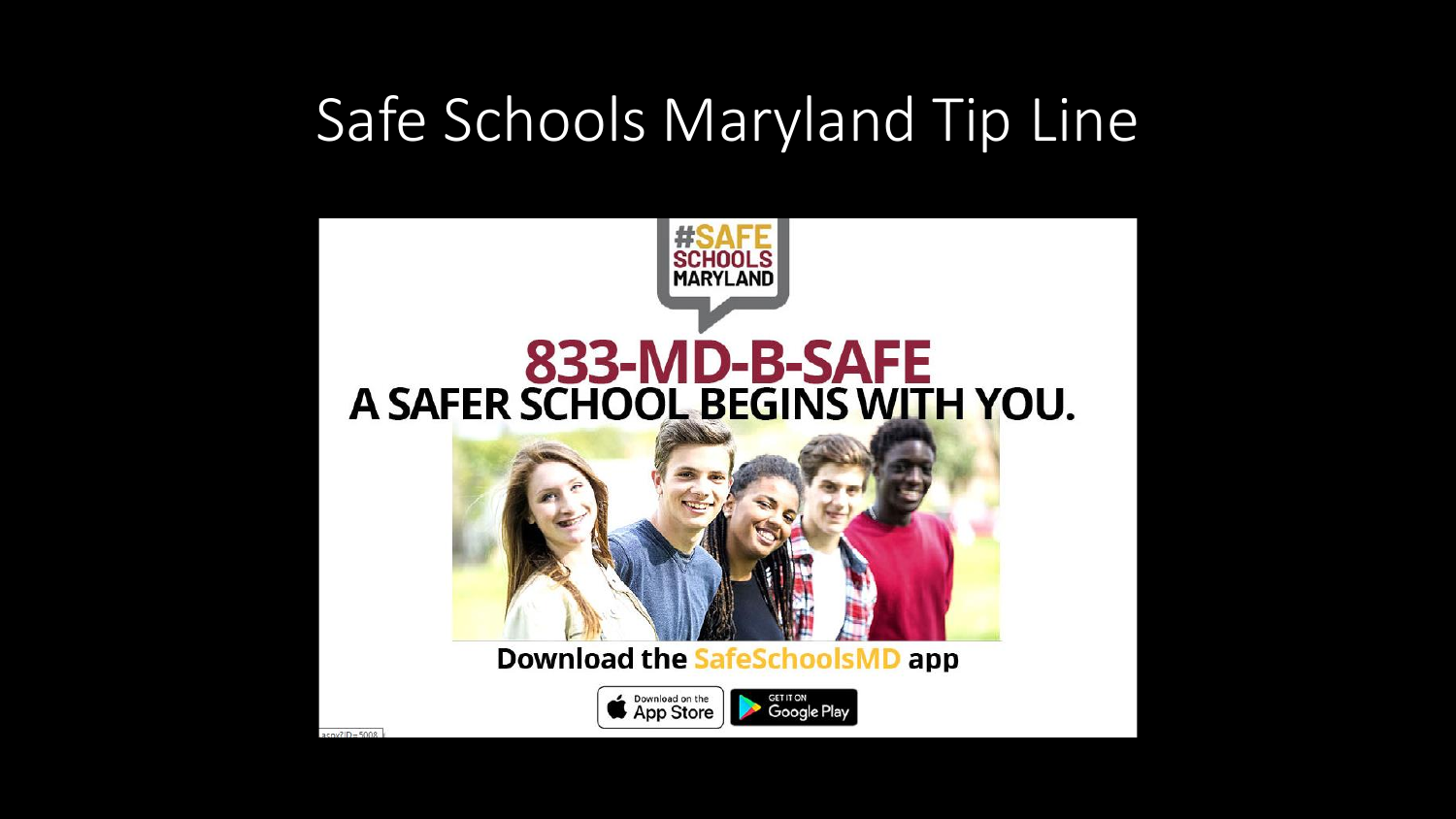### Safe Schools Maryland Tip Line